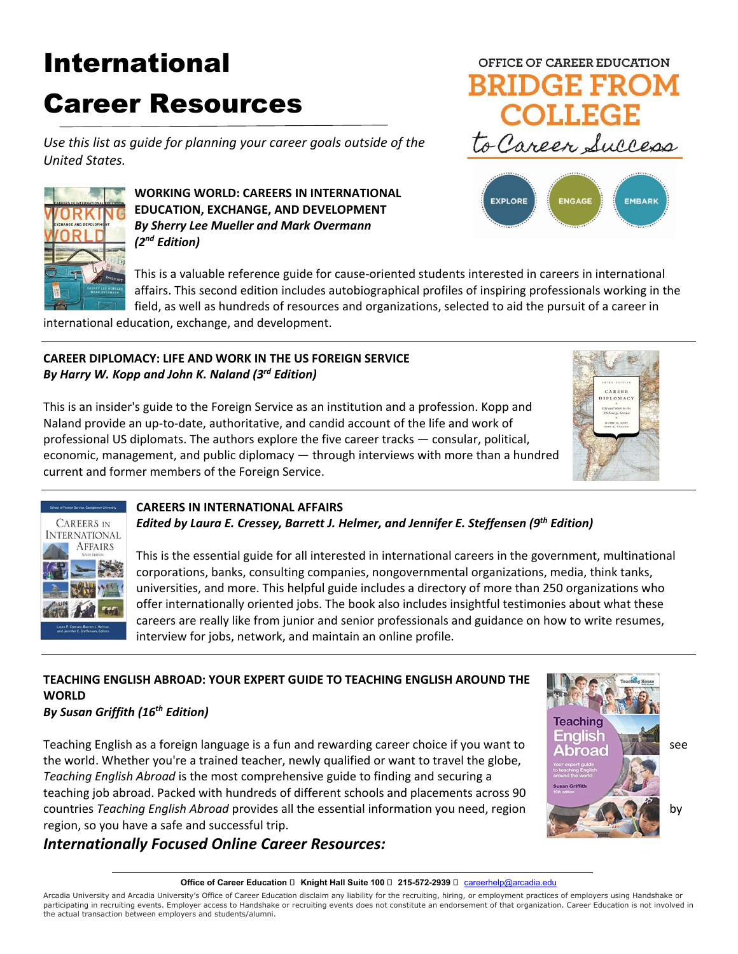# International

# Career Resources

*Use this list as guide for planning your career goals outside of the United States.* 



**WORKING WORLD: CAREERS IN INTERNATIONAL EDUCATION, EXCHANGE, AND DEVELOPMENT** *By Sherry Lee Mueller and Mark Overmann (2nd Edition)*

This is a valuable reference guide for cause-oriented students interested in careers in international affairs. This second edition includes autobiographical profiles of inspiring professionals working in the field, as well as hundreds of resources and organizations, selected to aid the pursuit of a career in

international education, exchange, and development.

## **CAREER DIPLOMACY: LIFE AND WORK IN THE US FOREIGN SERVICE** *By Harry W. Kopp and John K. Naland (3rd Edition)*

This is an insider's guide to the Foreign Service as an institution and a profession. Kopp and Naland provide an up-to-date, authoritative, and candid account of the life and work of professional US diplomats. The authors explore the five career tracks ― consular, political, economic, management, and public diplomacy ― through interviews with more than a hundred current and former members of the Foreign Service.





## **CAREERS IN INTERNATIONAL AFFAIRS**

*Edited by Laura E. Cressey, Barrett J. Helmer, and Jennifer E. Steffensen (9th Edition)*

This is the essential guide for all interested in international careers in the government, multinational corporations, banks, consulting companies, nongovernmental organizations, media, think tanks, universities, and more. This helpful guide includes a directory of more than 250 organizations who offer internationally oriented jobs. The book also includes insightful testimonies about what these careers are really like from junior and senior professionals and guidance on how to write resumes, interview for jobs, network, and maintain an online profile.

# **TEACHING ENGLISH ABROAD: YOUR EXPERT GUIDE TO TEACHING ENGLISH AROUND THE WORLD**

## *By Susan Griffith (16th Edition)*

Teaching English as a foreign language is a fun and rewarding career choice if you want to **Supply Alexandia** see the world. Whether you're a trained teacher, newly qualified or want to travel the globe, *Teaching English Abroad* is the most comprehensive guide to finding and securing a teaching job abroad. Packed with hundreds of different schools and placements across 90 countries *Teaching English Abroad* provides all the essential information you need, region by region, so you have a safe and successful trip.

# *Internationally Focused Online Career Resources:*



**Office of Career Education □ Knight Hall Suite 100 □ 215-572-2939 □ [careerhelp@arcadia.edu](mailto:careerhelp@arcadia.edu)** 

Arcadia University and Arcadia University's Office of Career Education disclaim any liability for the recruiting, hiring, or employment practices of employers using Handshake or participating in recruiting events. Employer access to Handshake or recruiting events does not constitute an endorsement of that organization. Career Education is not involved in the actual transaction between employers and students/alumni.



ENGAGI

**EMBARK** 

**EXPLORE**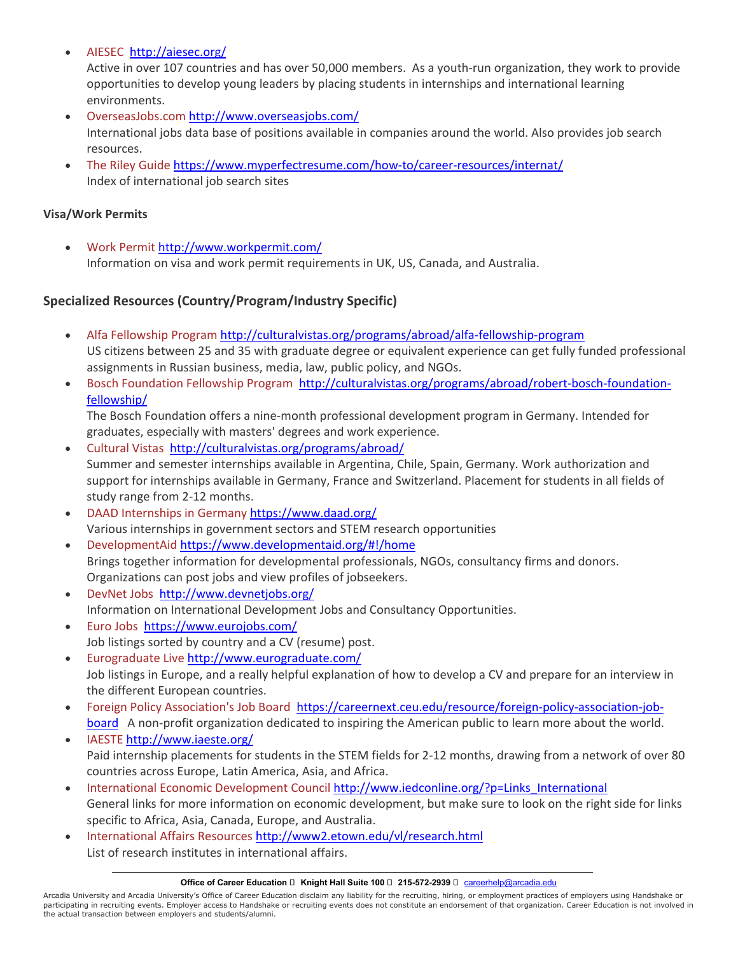#### • [AIESEC](http://aiesec.org/) <http://aiesec.org/>

Active in over 107 countries and has over 50,000 members. As a youth-run organization, they work to provide opportunities to develop young leaders by placing students in internships and international learning environments.

- [OverseasJobs.com](http://www.overseasjobs.com/) <http://www.overseasjobs.com/> International jobs data base of positions available in companies around the world. Also provides job search resources.
- [The Riley Guide](http://www.rileyguide.com/internat.html) <https://www.myperfectresume.com/how-to/career-resources/internat/> Index of international job search sites

#### **Visa/Work Permits**

• [Work Permit](http://www.workpermit.com/) <http://www.workpermit.com/> Information on visa and work permit requirements in UK, US, Canada, and Australia.

## **Specialized Resources (Country/Program/Industry Specific)**

- [Alfa Fellowship Program](http://www.cdsintl.org/alfa) [http://culturalvistas.org/programs/abroad/alfa-fellowship-program](http://culturalvistas.org/programs/abroad/alfa-fellowship-program/)  US citizens between 25 and 35 with graduate degree or equivalent experience can get fully funded professional assignments in Russian business, media, law, public policy, and NGOs.
- [Bosch Foundation Fellowship Program](http://www.culturalvistas.org/programs-for-students-and-professionals/professional-fellowships/robert-bosch-foundation-fellowship-program) [http://culturalvistas.org/programs/abroad/robert-bosch-foundation](http://culturalvistas.org/programs/abroad/robert-bosch-foundation-fellowship/)[fellowship/](http://culturalvistas.org/programs/abroad/robert-bosch-foundation-fellowship/)

The Bosch Foundation offers a nine-month professional development program in Germany. Intended for graduates, especially with masters' degrees and work experience.

- [Cultural Vistas](http://culturalvistas.org/programs-for-students-and-professionals/internships-abroad) <http://culturalvistas.org/programs/abroad/> Summer and semester internships available in Argentina, Chile, Spain, Germany. Work authorization and support for internships available in Germany, France and Switzerland. Placement for students in all fields of study range from 2-12 months.
- [DAAD Internships in Germany](https://www.daad.org/) <https://www.daad.org/> Various internships in government sectors and STEM research opportunities
- [DevelopmentAid](http://www.developmentaid.org/) [https://www.developmentaid.org/#!/home](http://www.developmentaid.org/)  Brings together information for developmental professionals, NGOs, consultancy firms and donors. Organizations can post jobs and view profiles of jobseekers.
- [DevNet Jobs](http://www.devnetjobs.org/) <http://www.devnetjobs.org/> Information on International Development Jobs and Consultancy Opportunities.
- [Euro Jobs](http://www.eurojobs.com/) <https://www.eurojobs.com/> Job listings sorted by country and a CV (resume) post.
- [Eurograduate Live](http://www.eurograduate.com/) <http://www.eurograduate.com/> Job listings in Europe, and a really helpful explanation of how to develop a CV and prepare for an interview in the different European countries.
- [Foreign Policy Association's Job Board](https://careernext.ceu.edu/resource/foreign-policy-association-job-board) [https://careernext.ceu.edu/resource/foreign-policy-association-job](https://careernext.ceu.edu/resource/foreign-policy-association-job-board)[board](https://careernext.ceu.edu/resource/foreign-policy-association-job-board) A non-profit organization dedicated to inspiring the American public to learn more about the world.
- [IAESTE](http://www.iaeste.org/) <http://www.iaeste.org/> Paid internship placements for students in the STEM fields for 2-12 months, drawing from a network of over 80 countries across Europe, Latin America, Asia, and Africa.
- [International Economic Development Council](http://www.iedconline.org/?p=Links_International) [http://www.iedconline.org/?p=Links\\_International](http://www.iedconline.org/?p=Links_International)  General links for more information on economic development, but make sure to look on the right side for links specific to Africa, Asia, Canada, Europe, and Australia.
- [International Affairs Resources](http://www2.etown.edu/vl/research.html) <http://www2.etown.edu/vl/research.html> List of research institutes in international affairs.

Arcadia University and Arcadia University's Office of Career Education disclaim any liability for the recruiting, hiring, or employment practices of employers using Handshake or participating in recruiting events. Employer access to Handshake or recruiting events does not constitute an endorsement of that organization. Career Education is not involved in the actual transaction between employers and students/alumni.